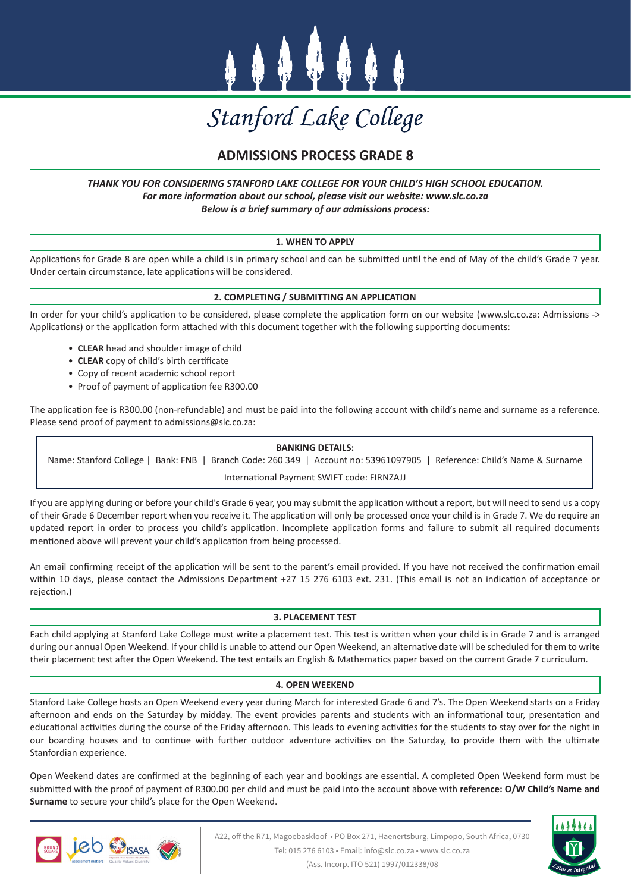

# Stanford Lake College

# **ADMISSIONS PROCESS GRADE 8**

### *THANK YOU FOR CONSIDERING STANFORD LAKE COLLEGE FOR YOUR CHILD'S HIGH SCHOOL EDUCATION. For more information about our school, please visit our website: www.slc.co.za Below is a brief summary of our admissions process:*

# **1. WHEN TO APPLY**

Applications for Grade 8 are open while a child is in primary school and can be submitted until the end of May of the child's Grade 7 year. Under certain circumstance, late applications will be considered.

# **2. COMPLETING / SUBMITTING AN APPLICATION**

In order for your child's application to be considered, please complete the application form on our website (www.slc.co.za: Admissions -> Applications) or the application form attached with this document together with the following supporting documents:

- **CLEAR** head and shoulder image of child
- **CLEAR** copy of child's birth certificate
- Copy of recent academic school report
- Proof of payment of application fee R300.00

The application fee is R300.00 (non-refundable) and must be paid into the following account with child's name and surname as a reference. Please send proof of payment to admissions@slc.co.za:

#### **BANKING DETAILS:**

Name: Stanford College | Bank: FNB | Branch Code: 260 349 | Account no: 53961097905 | Reference: Child's Name & Surname International Payment SWIFT code: FIRNZAJJ

If you are applying during or before your child's Grade 6 year, you may submit the application without a report, but will need to send us a copy of their Grade 6 December report when you receive it. The application will only be processed once your child is in Grade 7. We do require an updated report in order to process you child's application. Incomplete application forms and failure to submit all required documents mentioned above will prevent your child's application from being processed.

An email confirming receipt of the application will be sent to the parent's email provided. If you have not received the confirmation email within 10 days, please contact the Admissions Department +27 15 276 6103 ext. 231. (This email is not an indication of acceptance or rejection.)

#### **3. PLACEMENT TEST**

Each child applying at Stanford Lake College must write a placement test. This test is written when your child is in Grade 7 and is arranged during our annual Open Weekend. If your child is unable to attend our Open Weekend, an alternative date will be scheduled for them to write their placement test after the Open Weekend. The test entails an English & Mathematics paper based on the current Grade 7 curriculum.

#### **4. OPEN WEEKEND**

Stanford Lake College hosts an Open Weekend every year during March for interested Grade 6 and 7's. The Open Weekend starts on a Friday afternoon and ends on the Saturday by midday. The event provides parents and students with an informational tour, presentation and educational activities during the course of the Friday afternoon. This leads to evening activities for the students to stay over for the night in our boarding houses and to continue with further outdoor adventure activities on the Saturday, to provide them with the ultimate Stanfordian experience.

Open Weekend dates are confirmed at the beginning of each year and bookings are essential. A completed Open Weekend form must be submitted with the proof of payment of R300.00 per child and must be paid into the account above with **reference: O/W Child's Name and Surname** to secure your child's place for the Open Weekend.